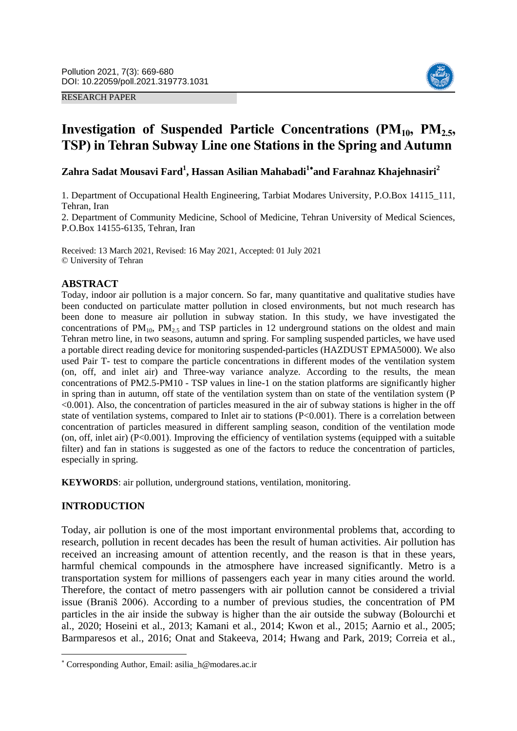#### RESEARCH PAPER



# Investigation of Suspended Particle Concentrations (PM<sub>10</sub>, PM<sub>2.5</sub>, **TSP) in Tehran Subway Line one Stations in the Spring and Autumn**

**Zahra Sadat Mousavi Fard<sup>1</sup> , Hassan Asilian Mahabadi<sup>1</sup> and Farahnaz Khajehnasiri<sup>2</sup>**

1. Department of Occupational Health Engineering, Tarbiat Modares University, P.O.Box 14115\_111, Tehran, Iran

2. Department of Community Medicine, School of Medicine, Tehran University of Medical Sciences, P.O.Box 14155-6135, Tehran, Iran

Received: 13 March 2021, Revised: 16 May 2021, Accepted: 01 July 2021 © University of Tehran

## **ABSTRACT**

Today, indoor air pollution is a major concern. So far, many quantitative and qualitative studies have been conducted on particulate matter pollution in closed environments, but not much research has been done to measure air pollution in subway station. In this study, we have investigated the concentrations of  $PM_{10}$ ,  $PM_{2.5}$  and TSP particles in 12 underground stations on the oldest and main Tehran metro line, in two seasons, autumn and spring. For sampling suspended particles, we have used a portable direct reading device for monitoring suspended-particles (HAZDUST EPMA5000). We also used Pair T- test to compare the particle concentrations in different modes of the ventilation system (on, off, and inlet air) and Three-way variance analyze. According to the results, the mean concentrations of PM2.5-PM10 - TSP values in line-1 on the station platforms are significantly higher in spring than in autumn, off state of the ventilation system than on state of the ventilation system (P <0.001). Also, the concentration of particles measured in the air of subway stations is higher in the off state of ventilation systems, compared to Inlet air to stations (P<0.001). There is a correlation between concentration of particles measured in different sampling season, condition of the ventilation mode (on, off, inlet air)  $(P<0.001)$ . Improving the efficiency of ventilation systems (equipped with a suitable filter) and fan in stations is suggested as one of the factors to reduce the concentration of particles, especially in spring.

**KEYWORDS**: air pollution, underground stations, ventilation, monitoring.

## **INTRODUCTION**

**.** 

Today, air pollution is one of the most important environmental problems that, according to research, pollution in recent decades has been the result of human activities. Air pollution has received an increasing amount of attention recently, and the reason is that in these years, harmful chemical compounds in the atmosphere have increased significantly. Metro is a transportation system for millions of passengers each year in many cities around the world. Therefore, the contact of metro passengers with air pollution cannot be considered a trivial issue (Braniš 2006). According to a number of previous studies, the concentration of PM particles in the air inside the subway is higher than the air outside the subway (Bolourchi et al., 2020; Hoseini et al., 2013; Kamani et al., 2014; Kwon et al., 2015; Aarnio et al., 2005; Barmparesos et al., 2016; Onat and Stakeeva, 2014; Hwang and Park, 2019; Correia et al.,

Corresponding Author, Email: asilia\_h@modares.ac.ir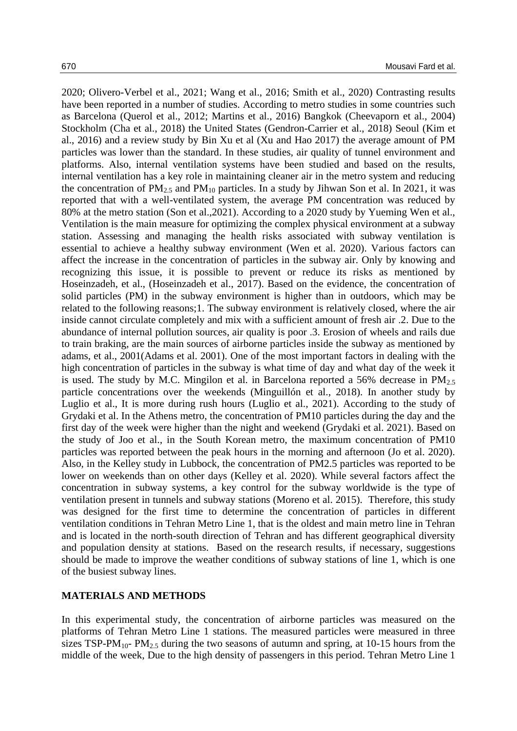2020; Olivero-Verbel et al., 2021; Wang et al., 2016; Smith et al., 2020) Contrasting results have been reported in a number of studies. According to metro studies in some countries such as Barcelona (Querol et al., 2012; Martins et al., 2016) Bangkok (Cheevaporn et al., 2004) Stockholm (Cha et al., 2018) the United States (Gendron-Carrier et al., 2018) Seoul (Kim et al., 2016) and a review study by Bin Xu et al (Xu and Hao 2017) the average amount of PM particles was lower than the standard. In these studies, air quality of tunnel environment and platforms. Also, internal ventilation systems have been studied and based on the results, internal ventilation has a key role in maintaining cleaner air in the metro system and reducing the concentration of  $PM_{2.5}$  and  $PM_{10}$  particles. In a study by Jihwan Son et al. In 2021, it was reported that with a well-ventilated system, the average PM concentration was reduced by 80% at the metro station (Son et al.,2021). According to a 2020 study by Yueming Wen et al., Ventilation is the main measure for optimizing the complex physical environment at a subway station. Assessing and managing the health risks associated with subway ventilation is essential to achieve a healthy subway environment (Wen et al. 2020). Various factors can affect the increase in the concentration of particles in the subway air. Only by knowing and recognizing this issue, it is possible to prevent or reduce its risks as mentioned by Hoseinzadeh, et al., (Hoseinzadeh et al., 2017). Based on the evidence, the concentration of solid particles (PM) in the subway environment is higher than in outdoors, which may be related to the following reasons;1. The subway environment is relatively closed, where the air inside cannot circulate completely and mix with a sufficient amount of fresh air .2. Due to the abundance of internal pollution sources, air quality is poor .3. Erosion of wheels and rails due to train braking, are the main sources of airborne particles inside the subway as mentioned by adams, et al., 2001(Adams et al. 2001). One of the most important factors in dealing with the high concentration of particles in the subway is what time of day and what day of the week it is used. The study by M.C. Mingilon et al. in Barcelona reported a 56% decrease in  $PM<sub>25</sub>$ particle concentrations over the weekends (Minguillón et al., 2018). In another study by Luglio et al., It is more during rush hours (Luglio et al., 2021). According to the study of Grydaki et al. In the Athens metro, the concentration of PM10 particles during the day and the first day of the week were higher than the night and weekend (Grydaki et al. 2021). Based on the study of Joo et al., in the South Korean metro, the maximum concentration of PM10 particles was reported between the peak hours in the morning and afternoon (Jo et al. 2020). Also, in the Kelley study in Lubbock, the concentration of PM2.5 particles was reported to be lower on weekends than on other days (Kelley et al. 2020). While several factors affect the concentration in subway systems, a key control for the subway worldwide is the type of ventilation present in tunnels and subway stations (Moreno et al. 2015). Therefore, this study was designed for the first time to determine the concentration of particles in different ventilation conditions in Tehran Metro Line 1, that is the oldest and main metro line in Tehran and is located in the north-south direction of Tehran and has different geographical diversity and population density at stations. Based on the research results, if necessary, suggestions should be made to improve the weather conditions of subway stations of line 1, which is one of the busiest subway lines.

# **MATERIALS AND METHODS**

In this experimental study, the concentration of airborne particles was measured on the platforms of Tehran Metro Line 1 stations. The measured particles were measured in three sizes TSP-PM<sub>10</sub>- PM<sub>2.5</sub> during the two seasons of autumn and spring, at 10-15 hours from the middle of the week, Due to the high density of passengers in this period. Tehran Metro Line 1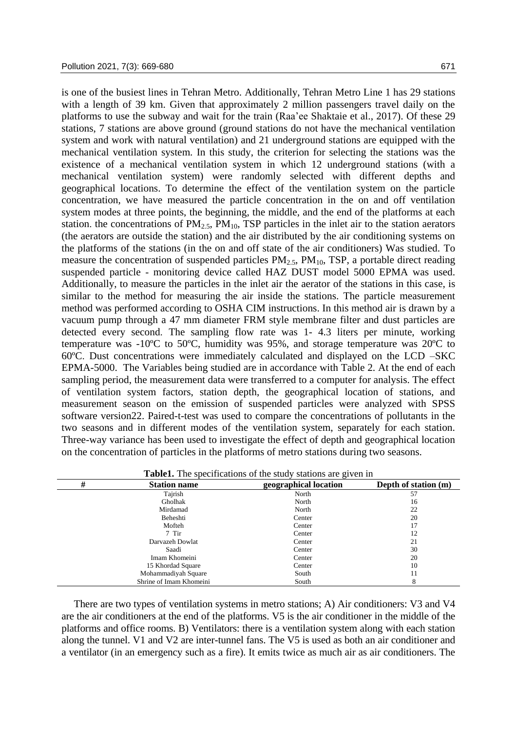is one of the busiest lines in Tehran Metro. Additionally, Tehran Metro Line 1 has 29 stations with a length of 39 km. Given that approximately 2 million passengers travel daily on the platforms to use the subway and wait for the train (Raa'ee Shaktaie et al., 2017). Of these 29 stations, 7 stations are above ground (ground stations do not have the mechanical ventilation system and work with natural ventilation) and 21 underground stations are equipped with the mechanical ventilation system. In this study, the criterion for selecting the stations was the existence of a mechanical ventilation system in which 12 underground stations (with a mechanical ventilation system) were randomly selected with different depths and geographical locations. To determine the effect of the ventilation system on the particle concentration, we have measured the particle concentration in the on and off ventilation system modes at three points, the beginning, the middle, and the end of the platforms at each station. the concentrations of  $PM<sub>2.5</sub>$ ,  $PM<sub>10</sub>$ , TSP particles in the inlet air to the station aerators (the aerators are outside the station) and the air distributed by the air conditioning systems on the platforms of the stations (in the on and off state of the air conditioners) Was studied. To measure the concentration of suspended particles  $PM_{2.5}$ ,  $PM_{10}$ , TSP, a portable direct reading suspended particle - monitoring device called HAZ DUST model 5000 EPMA was used. Additionally, to measure the particles in the inlet air the aerator of the stations in this case, is similar to the method for measuring the air inside the stations. The particle measurement method was performed according to OSHA CIM instructions. In this method air is drawn by a vacuum pump through a 47 mm diameter FRM style membrane filter and dust particles are detected every second. The sampling flow rate was 1- 4.3 liters per minute, working temperature was -10ºC to 50ºC, humidity was 95%, and storage temperature was 20ºC to 60ºC. Dust concentrations were immediately calculated and displayed on the LCD –SKC EPMA-5000. The Variables being studied are in accordance with Table 2. At the end of each sampling period, the measurement data were transferred to a computer for analysis. The effect of ventilation system factors, station depth, the geographical location of stations, and measurement season on the emission of suspended particles were analyzed with SPSS software version22. Paired-t-test was used to compare the concentrations of pollutants in the two seasons and in different modes of the ventilation system, separately for each station. Three-way variance has been used to investigate the effect of depth and geographical location on the concentration of particles in the platforms of metro stations during two seasons.

|   |                         | <b>Table1.</b> The specifications of the study stations are given in |                      |
|---|-------------------------|----------------------------------------------------------------------|----------------------|
| # | <b>Station name</b>     | geographical location                                                | Depth of station (m) |
|   | Tajrish                 | North                                                                | 57                   |
|   | Gholhak                 | North                                                                | 16                   |
|   | Mirdamad                | North                                                                | 22                   |
|   | Beheshti                | Center                                                               | 20                   |
|   | Mofteh                  | Center                                                               | 17                   |
|   | 7 Tir                   | Center                                                               | 12                   |
|   | Darvazeh Dowlat         | Center                                                               | 21                   |
|   | Saadi                   | Center                                                               | 30                   |
|   | Imam Khomeini           | Center                                                               | 20                   |
|   | 15 Khordad Square       | Center                                                               | 10                   |
|   | Mohammadiyah Square     | South                                                                | 11                   |
|   | Shrine of Imam Khomeini | South                                                                | 8                    |

**Table1.** The specifications of the study stations are given in

There are two types of ventilation systems in metro stations; A) Air conditioners: V3 and V4 are the air conditioners at the end of the platforms. V5 is the air conditioner in the middle of the platforms and office rooms. B) Ventilators: there is a ventilation system along with each station along the tunnel. V1 and V2 are inter-tunnel fans. The V5 is used as both an air conditioner and a ventilator (in an emergency such as a fire). It emits twice as much air as air conditioners. The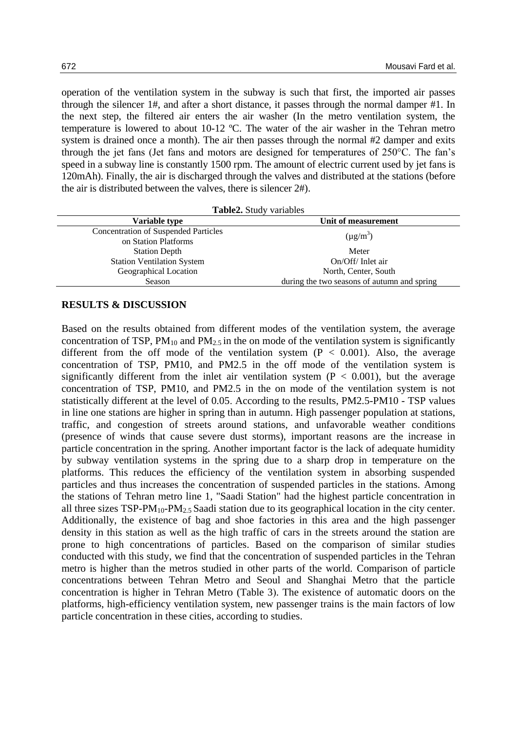operation of the ventilation system in the subway is such that first, the imported air passes through the silencer 1#, and after a short distance, it passes through the normal damper #1. In the next step, the filtered air enters the air washer (In the metro ventilation system, the temperature is lowered to about 10-12 ºC. The water of the air washer in the Tehran metro system is drained once a month). The air then passes through the normal #2 damper and exits through the jet fans (Jet fans and motors are designed for temperatures of 250°C. The fan's speed in a subway line is constantly 1500 rpm. The amount of electric current used by jet fans is 120mAh). Finally, the air is discharged through the valves and distributed at the stations (before the air is distributed between the valves, there is silencer 2#).

| <b>Table2.</b> Study variables              |  |  |  |
|---------------------------------------------|--|--|--|
| Unit of measurement                         |  |  |  |
| $(\mu g/m^3)$                               |  |  |  |
| Meter                                       |  |  |  |
| On/Off/Inlet air                            |  |  |  |
| North, Center, South                        |  |  |  |
| during the two seasons of autumn and spring |  |  |  |
|                                             |  |  |  |

## **RESULTS & DISCUSSION**

Based on the results obtained from different modes of the ventilation system, the average concentration of TSP,  $PM_{10}$  and  $PM_{2.5}$  in the on mode of the ventilation system is significantly different from the off mode of the ventilation system  $(P < 0.001)$ . Also, the average concentration of TSP, PM10, and PM2.5 in the off mode of the ventilation system is significantly different from the inlet air ventilation system  $(P < 0.001)$ , but the average concentration of TSP, PM10, and PM2.5 in the on mode of the ventilation system is not statistically different at the level of 0.05. According to the results, PM2.5-PM10 - TSP values in line one stations are higher in spring than in autumn. High passenger population at stations, traffic, and congestion of streets around stations, and unfavorable weather conditions (presence of winds that cause severe dust storms), important reasons are the increase in particle concentration in the spring. Another important factor is the lack of adequate humidity by subway ventilation systems in the spring due to a sharp drop in temperature on the platforms. This reduces the efficiency of the ventilation system in absorbing suspended particles and thus increases the concentration of suspended particles in the stations. Among the stations of Tehran metro line 1, "Saadi Station" had the highest particle concentration in all three sizes  $TSP-PM_{10}-PM_2$ , Saadi station due to its geographical location in the city center. Additionally, the existence of bag and shoe factories in this area and the high passenger density in this station as well as the high traffic of cars in the streets around the station are prone to high concentrations of particles. Based on the comparison of similar studies conducted with this study, we find that the concentration of suspended particles in the Tehran metro is higher than the metros studied in other parts of the world. Comparison of particle concentrations between Tehran Metro and Seoul and Shanghai Metro that the particle concentration is higher in Tehran Metro (Table 3). The existence of automatic doors on the platforms, high-efficiency ventilation system, new passenger trains is the main factors of low particle concentration in these cities, according to studies.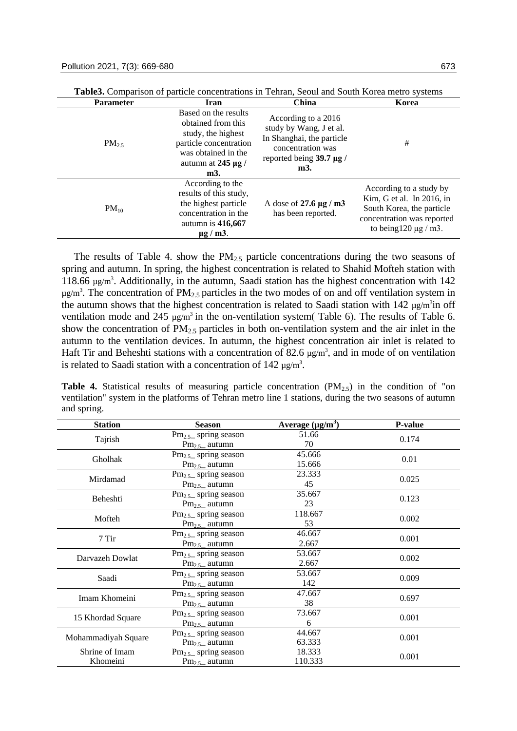| <b>Parameter</b> | Iran                                                                                                                                                | China                                                                                                                                    | Korea                                                                                                                                         |
|------------------|-----------------------------------------------------------------------------------------------------------------------------------------------------|------------------------------------------------------------------------------------------------------------------------------------------|-----------------------------------------------------------------------------------------------------------------------------------------------|
| $PM_{25}$        | Based on the results<br>obtained from this<br>study, the highest<br>particle concentration<br>was obtained in the<br>autumn at $245 \mu g$ /<br>m3. | According to a 2016<br>study by Wang, J et al.<br>In Shanghai, the particle<br>concentration was<br>reported being $39.7 \mu g$ /<br>m3. | #                                                                                                                                             |
| $PM_{10}$        | According to the<br>results of this study,<br>the highest particle<br>concentration in the<br>autumn is $416,667$<br>$\mu$ g / m3.                  | A dose of 27.6 $\mu$ g / m3<br>has been reported.                                                                                        | According to a study by<br>Kim, G et al. In 2016, in<br>South Korea, the particle<br>concentration was reported<br>to being $120 \mu g$ / m3. |

**Table3.** Comparison of particle concentrations in Tehran, Seoul and South Korea metro systems

The results of Table 4. show the  $PM<sub>2.5</sub>$  particle concentrations during the two seasons of spring and autumn. In spring, the highest concentration is related to Shahid Mofteh station with 118.66  $\mu$ g/m<sup>3</sup>. Additionally, in the autumn, Saadi station has the highest concentration with 142  $\mu$ g/m<sup>3</sup>. The concentration of PM<sub>2.5</sub> particles in the two modes of on and off ventilation system in the autumn shows that the highest concentration is related to Saadi station with  $142 \mu g/m<sup>3</sup>$ in off ventilation mode and 245  $\mu$ g/m<sup>3</sup> in the on-ventilation system( Table 6). The results of Table 6. show the concentration of  $PM<sub>2.5</sub>$  particles in both on-ventilation system and the air inlet in the autumn to the ventilation devices. In autumn, the highest concentration air inlet is related to Haft Tir and Beheshti stations with a concentration of 82.6  $\mu$ g/m<sup>3</sup>, and in mode of on ventilation is related to Saadi station with a concentration of  $142 \mu g/m<sup>3</sup>$ .

**Table 4.** Statistical results of measuring particle concentration  $(PM_{2.5})$  in the condition of "on ventilation" system in the platforms of Tehran metro line 1 stations, during the two seasons of autumn and spring.

| <b>Station</b>      | <b>Season</b>                   | Average $(\mu g/m^3)$ | P-value |  |
|---------------------|---------------------------------|-----------------------|---------|--|
|                     | $\text{Pm}_{2.5}$ spring season | 51.66                 | 0.174   |  |
| Tajrish             | $Pm_{2.5}$ autumn               | 70                    |         |  |
| Gholhak             | $\text{Pm}_{2.5}$ spring season | 45.666                | 0.01    |  |
|                     | $Pm_{2.5}$ autumn               | 15.666                |         |  |
| Mirdamad            | $\text{Pm}_{2.5}$ spring season | 23.333                | 0.025   |  |
|                     | $Pm_{2.5}$ autumn               | 45                    |         |  |
| Beheshti            | $\text{Pm}_{2.5}$ spring season | 35.667                | 0.123   |  |
|                     | $Pm_{2.5}$ autumn               | 23                    |         |  |
| Mofteh              | $\text{Pm}_{2.5}$ spring season | 118.667               | 0.002   |  |
|                     | $Pm_{2.5}$ autumn               | 53                    |         |  |
| $7$ Tir             | $\text{Pm}_{2.5}$ spring season | 46.667                | 0.001   |  |
|                     | $Pm_{2.5}$ autumn               | 2.667                 |         |  |
| Darvazeh Dowlat     | $\text{Pm}_{2.5}$ spring season | 53.667                | 0.002   |  |
|                     | $Pm_{2.5}$ autumn               | 2.667                 |         |  |
| Saadi               | $\text{Pm}_{2.5}$ spring season | 53.667                | 0.009   |  |
|                     | $Pm_{2.5}$ autumn               | 142                   |         |  |
| Imam Khomeini       | $\text{Pm}_{2.5}$ spring season | 47.667                | 0.697   |  |
|                     | $Pm_{2.5}$ autumn               | 38                    |         |  |
| 15 Khordad Square   | $\text{Pm}_{2.5}$ spring season | 73.667                | 0.001   |  |
|                     | $Pm_{2.5}$ autumn               | 6                     |         |  |
| Mohammadiyah Square | $\text{Pm}_{2.5}$ spring season | 44.667                | 0.001   |  |
|                     | $Pm_{2.5}$ autumn               | 63.333                |         |  |
| Shrine of Imam      | $\text{Pm}_{2.5}$ spring season | 18.333                | 0.001   |  |
| Khomeini            | $Pm_{2.5}$ autumn               | 110.333               |         |  |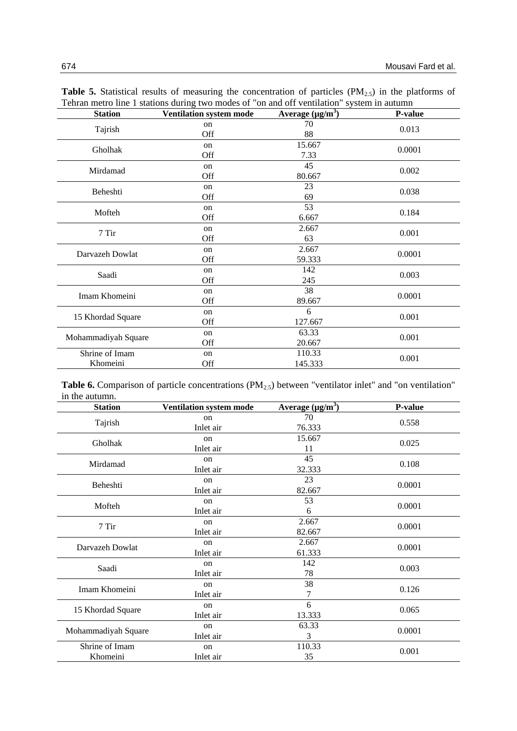| <b>Station</b>      | <b>Ventilation system mode</b> | Average $(\mu g/m^3)$ | P-value |
|---------------------|--------------------------------|-----------------------|---------|
|                     | on                             | 70                    |         |
| Tajrish             | Off                            | 88                    | 0.013   |
| Gholhak             | on                             | 15.667                | 0.0001  |
|                     | Off                            | 7.33                  |         |
| Mirdamad            | on                             | 45                    | 0.002   |
|                     | Off                            | 80.667                |         |
| Beheshti            | on                             | 23                    | 0.038   |
|                     | Off                            | 69                    |         |
| Mofteh              | on                             | 53                    | 0.184   |
|                     | Off                            | 6.667                 |         |
| 7 Tir               | on                             | 2.667                 | 0.001   |
|                     | Off                            | 63                    |         |
| Darvazeh Dowlat     | on                             | 2.667                 | 0.0001  |
|                     | Off                            | 59.333                |         |
| Saadi               | on                             | 142                   | 0.003   |
|                     | Off                            | 245                   |         |
| Imam Khomeini       | on                             | 38                    | 0.0001  |
|                     | Off                            | 89.667                |         |
| 15 Khordad Square   | on                             | 6                     | 0.001   |
|                     | Off                            | 127.667               |         |
| Mohammadiyah Square | on                             | 63.33                 | 0.001   |
|                     | Off                            | 20.667                |         |
| Shrine of Imam      | on                             | 110.33                | 0.001   |
| Khomeini            | Off                            | 145.333               |         |

Table 5. Statistical results of measuring the concentration of particles (PM<sub>2.5</sub>) in the platforms of Tehran metro line 1 stations during two modes of "on and off ventilation" system in autumn

**Table 6.** Comparison of particle concentrations (PM<sub>2.5</sub>) between "ventilator inlet" and "on ventilation" in the autumn.

| <b>Station</b>      | Ventilation system mode | Average $(\mu g/m^3)$ | P-value |
|---------------------|-------------------------|-----------------------|---------|
|                     | on                      | 70                    | 0.558   |
| Tajrish             | Inlet air               | 76.333                |         |
| Gholhak             | $_{\rm on}$             | 15.667                |         |
|                     | Inlet air               | 11                    | 0.025   |
| Mirdamad            | on                      | 45                    | 0.108   |
|                     | Inlet air               | 32.333                |         |
| Beheshti            | $_{\rm on}$             | 23                    | 0.0001  |
|                     | Inlet air               | 82.667                |         |
| Mofteh              | on                      | 53                    | 0.0001  |
|                     | Inlet air               | 6                     |         |
| 7 Tir               | on                      | 2.667                 | 0.0001  |
|                     | Inlet air               | 82.667                |         |
| Darvazeh Dowlat     | on                      | 2.667                 | 0.0001  |
|                     | Inlet air               | 61.333                |         |
| Saadi               | on                      | 142                   | 0.003   |
|                     | Inlet air               | 78                    |         |
| Imam Khomeini       | on                      | 38                    | 0.126   |
|                     | Inlet air               | 7                     |         |
| 15 Khordad Square   | $_{\rm on}$             | 6                     | 0.065   |
|                     | Inlet air               | 13.333                |         |
| Mohammadiyah Square | on                      | 63.33                 | 0.0001  |
|                     | Inlet air               | 3                     |         |
| Shrine of Imam      | on                      | 110.33                | 0.001   |
| Khomeini            | Inlet air               | 35                    |         |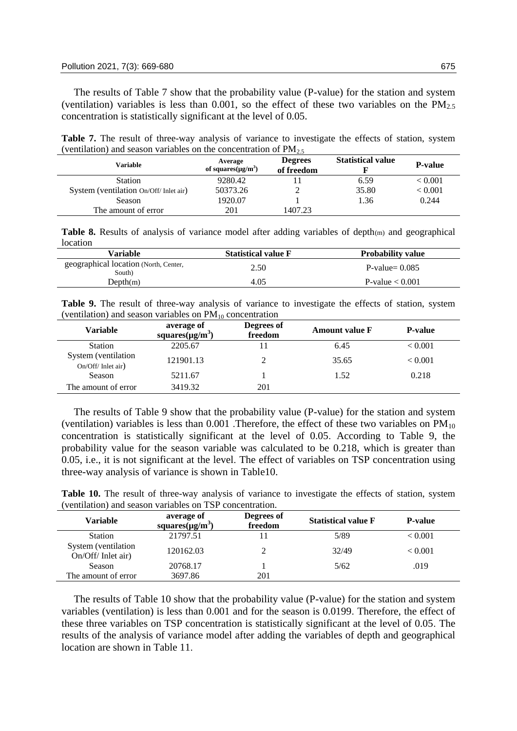The results of Table 7 show that the probability value (P-value) for the station and system (ventilation) variables is less than 0.001, so the effect of these two variables on the PM<sub>2.5</sub> concentration is statistically significant at the level of 0.05.

**Table 7.** The result of three-way analysis of variance to investigate the effects of station, system (ventilation) and season variables on the concentration of  $PM<sub>2.5</sub>$ 

| Variable                               | Average<br>of squares $(\mu g/m^3)$ | <b>Degrees</b><br>of freedom | <b>Statistical value</b> | <b>P-value</b> |
|----------------------------------------|-------------------------------------|------------------------------|--------------------------|----------------|
| <b>Station</b>                         | 9280.42                             |                              | 6.59                     | < 0.001        |
| System (ventilation On/Off/ Inlet air) | 50373.26                            |                              | 35.80                    | < 0.001        |
| <b>Season</b>                          | 1920.07                             |                              | 1.36                     | 0.244          |
| The amount of error                    | 201                                 | 1407.23                      |                          |                |

**Table 8.** Results of analysis of variance model after adding variables of depth(m) and geographical location

| Variable                                        | <b>Statistical value F</b> | <b>Probability value</b> |
|-------------------------------------------------|----------------------------|--------------------------|
| geographical location (North, Center,<br>South) | 2.50                       | P-value $= 0.085$        |
| Depth(m)                                        | 4.05                       | P-value $< 0.001$        |

**Table 9.** The result of three-way analysis of variance to investigate the effects of station, system (ventilation) and season variables on  $PM_{10}$  concentration

| Variable                                 | average of<br>squares $(\mu g/m^3)$ | Degrees of<br>freedom | <b>Amount value F</b> | <b>P-value</b> |
|------------------------------------------|-------------------------------------|-----------------------|-----------------------|----------------|
| <b>Station</b>                           | 2205.67                             |                       | 6.45                  | ${}_{< 0.001}$ |
| System (ventilation<br>On/Off/Inlet air) | 121901.13                           |                       | 35.65                 | ${}_{< 0.001}$ |
| Season                                   | 5211.67                             |                       | 1.52                  | 0.218          |
| The amount of error                      | 3419.32                             | 201                   |                       |                |

The results of Table 9 show that the probability value (P-value) for the station and system (ventilation) variables is less than  $0.001$  . Therefore, the effect of these two variables on  $PM_{10}$ concentration is statistically significant at the level of 0.05. According to Table 9, the probability value for the season variable was calculated to be 0.218, which is greater than 0.05, i.e., it is not significant at the level. The effect of variables on TSP concentration using three-way analysis of variance is shown in Table10.

**Table 10.** The result of three-way analysis of variance to investigate the effects of station, system (ventilation) and season variables on TSP concentration.

| Variable                                 | average of                                   | Degrees of | <b>Statistical value F</b> | <b>P-value</b> |  |
|------------------------------------------|----------------------------------------------|------------|----------------------------|----------------|--|
|                                          | squares( $\mu$ g/m <sup>3</sup> )<br>freedom |            |                            |                |  |
| <b>Station</b>                           | 21797.51                                     | 11         | 5/89                       | < 0.001        |  |
| System (ventilation<br>On/Off/Inlet air) | 120162.03                                    |            | 32/49                      | < 0.001        |  |
| Season                                   | 20768.17                                     |            | 5/62                       | .019           |  |
| The amount of error                      | 3697.86                                      | 201        |                            |                |  |

The results of Table 10 show that the probability value (P-value) for the station and system variables (ventilation) is less than 0.001 and for the season is 0.0199. Therefore, the effect of these three variables on TSP concentration is statistically significant at the level of 0.05. The results of the analysis of variance model after adding the variables of depth and geographical location are shown in Table 11.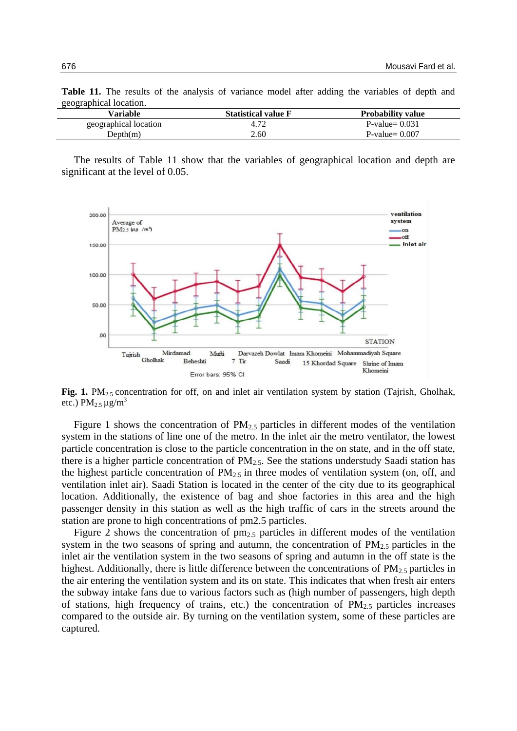| geographical location. |                            |                          |  |  |  |
|------------------------|----------------------------|--------------------------|--|--|--|
| Variable               | <b>Statistical value F</b> | <b>Probability value</b> |  |  |  |
| geographical location  | 4.72                       | $P-value = 0.031$        |  |  |  |
| Depth(m)               | 2.60                       | $P-value = 0.007$        |  |  |  |

**Table 11.** The results of the analysis of variance model after adding the variables of depth and geographical location.

The results of Table 11 show that the variables of geographical location and depth are significant at the level of 0.05.



**Fig. 1.** PM<sub>2.5</sub> concentration for off, on and inlet air ventilation system by station (Tajrish, Gholhak, etc.)  $PM_{2.5} \mu g/m^3$ 

Figure 1 shows the concentration of  $PM<sub>2.5</sub>$  particles in different modes of the ventilation system in the stations of line one of the metro. In the inlet air the metro ventilator, the lowest particle concentration is close to the particle concentration in the on state, and in the off state, there is a higher particle concentration of  $PM<sub>2.5</sub>$ . See the stations understudy Saadi station has the highest particle concentration of  $PM_{2.5}$  in three modes of ventilation system (on, off, and ventilation inlet air). Saadi Station is located in the center of the city due to its geographical location. Additionally, the existence of bag and shoe factories in this area and the high passenger density in this station as well as the high traffic of cars in the streets around the station are prone to high concentrations of pm2.5 particles.

Figure 2 shows the concentration of  $pm_{2.5}$  particles in different modes of the ventilation system in the two seasons of spring and autumn, the concentration of  $PM_{2.5}$  particles in the inlet air the ventilation system in the two seasons of spring and autumn in the off state is the highest. Additionally, there is little difference between the concentrations of  $PM_{2.5}$  particles in the air entering the ventilation system and its on state. This indicates that when fresh air enters the subway intake fans due to various factors such as (high number of passengers, high depth of stations, high frequency of trains, etc.) the concentration of  $PM<sub>2.5</sub>$  particles increases compared to the outside air. By turning on the ventilation system, some of these particles are captured.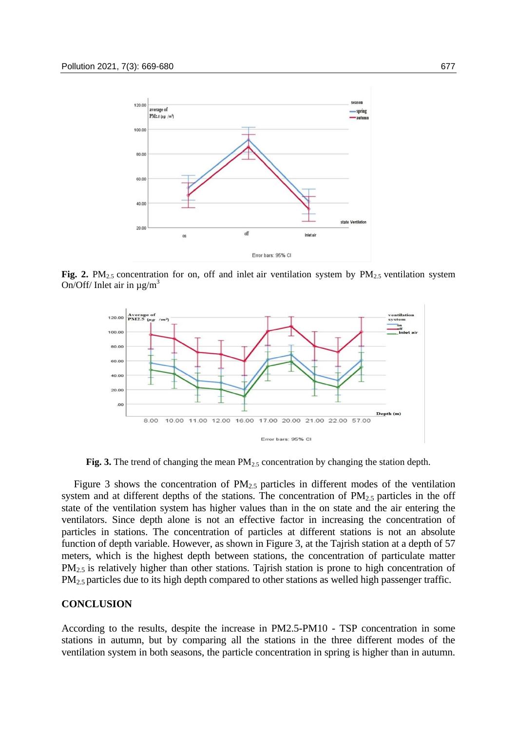

**Fig.** 2.  $PM_{2.5}$  concentration for on, off and inlet air ventilation system by  $PM_{2.5}$  ventilation system On/Off/ Inlet air in  $\mu$ g/m<sup>3</sup>



Fig. 3. The trend of changing the mean PM<sub>2.5</sub> concentration by changing the station depth.

Figure 3 shows the concentration of  $PM<sub>2.5</sub>$  particles in different modes of the ventilation system and at different depths of the stations. The concentration of  $PM_{2.5}$  particles in the off state of the ventilation system has higher values than in the on state and the air entering the ventilators. Since depth alone is not an effective factor in increasing the concentration of particles in stations. The concentration of particles at different stations is not an absolute function of depth variable. However, as shown in Figure 3, at the Tajrish station at a depth of 57 meters, which is the highest depth between stations, the concentration of particulate matter PM<sub>2.5</sub> is relatively higher than other stations. Tajrish station is prone to high concentration of PM<sub>2.5</sub> particles due to its high depth compared to other stations as welled high passenger traffic.

#### **CONCLUSION**

According to the results, despite the increase in PM2.5-PM10 - TSP concentration in some stations in autumn, but by comparing all the stations in the three different modes of the ventilation system in both seasons, the particle concentration in spring is higher than in autumn.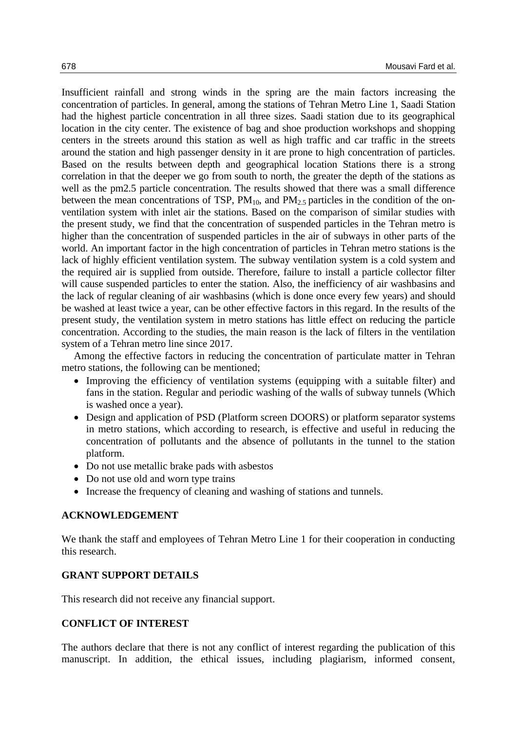Insufficient rainfall and strong winds in the spring are the main factors increasing the concentration of particles. In general, among the stations of Tehran Metro Line 1, Saadi Station had the highest particle concentration in all three sizes. Saadi station due to its geographical location in the city center. The existence of bag and shoe production workshops and shopping centers in the streets around this station as well as high traffic and car traffic in the streets around the station and high passenger density in it are prone to high concentration of particles. Based on the results between depth and geographical location Stations there is a strong correlation in that the deeper we go from south to north, the greater the depth of the stations as well as the pm2.5 particle concentration. The results showed that there was a small difference between the mean concentrations of TSP,  $PM_{10}$ , and  $PM_{2.5}$  particles in the condition of the onventilation system with inlet air the stations. Based on the comparison of similar studies with the present study, we find that the concentration of suspended particles in the Tehran metro is higher than the concentration of suspended particles in the air of subways in other parts of the world. An important factor in the high concentration of particles in Tehran metro stations is the lack of highly efficient ventilation system. The subway ventilation system is a cold system and the required air is supplied from outside. Therefore, failure to install a particle collector filter will cause suspended particles to enter the station. Also, the inefficiency of air washbasins and the lack of regular cleaning of air washbasins (which is done once every few years) and should be washed at least twice a year, can be other effective factors in this regard. In the results of the present study, the ventilation system in metro stations has little effect on reducing the particle concentration. According to the studies, the main reason is the lack of filters in the ventilation system of a Tehran metro line since 2017.

Among the effective factors in reducing the concentration of particulate matter in Tehran metro stations, the following can be mentioned;

- Improving the efficiency of ventilation systems (equipping with a suitable filter) and fans in the station. Regular and periodic washing of the walls of subway tunnels (Which is washed once a year).
- Design and application of PSD (Platform screen DOORS) or platform separator systems in metro stations, which according to research, is effective and useful in reducing the concentration of pollutants and the absence of pollutants in the tunnel to the station platform.
- Do not use metallic brake pads with asbestos
- Do not use old and worn type trains
- Increase the frequency of cleaning and washing of stations and tunnels.

### **ACKNOWLEDGEMENT**

We thank the staff and employees of Tehran Metro Line 1 for their cooperation in conducting this research.

## **GRANT SUPPORT DETAILS**

This research did not receive any financial support.

# **CONFLICT OF INTEREST**

The authors declare that there is not any conflict of interest regarding the publication of this manuscript. In addition, the ethical issues, including plagiarism, informed consent,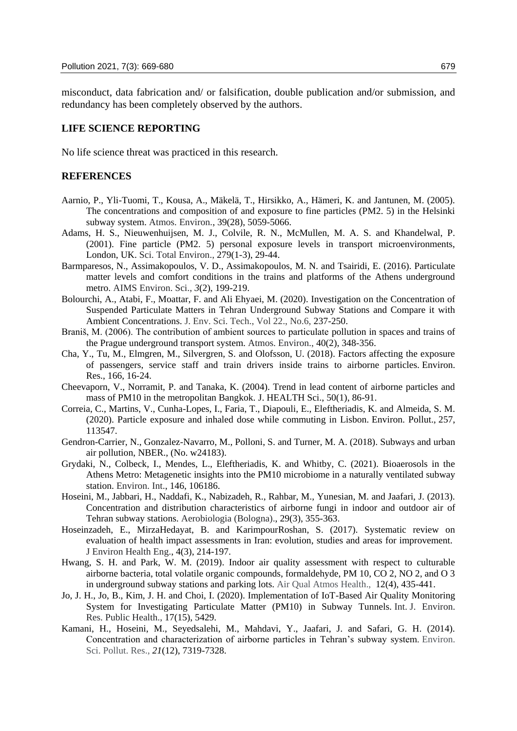misconduct, data fabrication and/ or falsification, double publication and/or submission, and redundancy has been completely observed by the authors.

# **LIFE SCIENCE REPORTING**

No life science threat was practiced in this research.

## **REFERENCES**

- Aarnio, P., Yli-Tuomi, T., Kousa, A., Mäkelä, T., Hirsikko, A., Hämeri, K. and Jantunen, M. (2005). The concentrations and composition of and exposure to fine particles (PM2. 5) in the Helsinki subway system. Atmos. Environ., 39(28), 5059-5066.
- Adams, H. S., Nieuwenhuijsen, M. J., Colvile, R. N., McMullen, M. A. S. and Khandelwal, P. (2001). Fine particle (PM2. 5) personal exposure levels in transport microenvironments, London, UK. Sci. Total Environ., 279(1-3), 29-44.
- Barmparesos, N., Assimakopoulos, V. D., Assimakopoulos, M. N. and Tsairidi, E. (2016). Particulate matter levels and comfort conditions in the trains and platforms of the Athens underground metro. AIMS Environ. Sci., *3*(2), 199-219.
- Bolourchi, A., Atabi, F., Moattar, F. and Ali Ehyaei, M. (2020). Investigation on the Concentration of Suspended Particulate Matters in Tehran Underground Subway Stations and Compare it with Ambient Concentrations. J. Env. Sci. Tech., Vol 22., No.6, 237-250.
- Braniš, M. (2006). The contribution of ambient sources to particulate pollution in spaces and trains of the Prague underground transport system. Atmos. Environ., 40(2), 348-356.
- Cha, Y., Tu, M., Elmgren, M., Silvergren, S. and Olofsson, U. (2018). Factors affecting the exposure of passengers, service staff and train drivers inside trains to airborne particles. Environ. Res., 166, 16-24.
- Cheevaporn, V., Norramit, P. and Tanaka, K. (2004). Trend in lead content of airborne particles and mass of PM10 in the metropolitan Bangkok. J. HEALTH Sci., 50(1), 86-91.
- Correia, C., Martins, V., Cunha-Lopes, I., Faria, T., Diapouli, E., Eleftheriadis, K. and Almeida, S. M. (2020). Particle exposure and inhaled dose while commuting in Lisbon. Environ. Pollut., 257, 113547.
- Gendron-Carrier, N., Gonzalez-Navarro, M., Polloni, S. and Turner, M. A. (2018). Subways and urban air pollution, NBER., (No. w24183).
- Grydaki, N., Colbeck, I., Mendes, L., Eleftheriadis, K. and Whitby, C. (2021). Bioaerosols in the Athens Metro: Metagenetic insights into the PM10 microbiome in a naturally ventilated subway station. Environ. Int., 146, 106186.
- Hoseini, M., Jabbari, H., Naddafi, K., Nabizadeh, R., Rahbar, M., Yunesian, M. and Jaafari, J. (2013). Concentration and distribution characteristics of airborne fungi in indoor and outdoor air of Tehran subway stations. Aerobiologia (Bologna)., 29(3), 355-363.
- Hoseinzadeh, E., MirzaHedayat, B. and KarimpourRoshan, S. (2017). Systematic review on evaluation of health impact assessments in Iran: evolution, studies and areas for improvement. J Environ Health Eng., 4(3), 214-197.
- Hwang, S. H. and Park, W. M. (2019). Indoor air quality assessment with respect to culturable airborne bacteria, total volatile organic compounds, formaldehyde, PM 10, CO 2, NO 2, and O 3 in underground subway stations and parking lots. Air Qual Atmos Health., 12(4), 435-441.
- Jo, J. H., Jo, B., Kim, J. H. and Choi, I. (2020). Implementation of IoT-Based Air Quality Monitoring System for Investigating Particulate Matter (PM10) in Subway Tunnels. Int. J. Environ. Res. Public Health., 17(15), 5429.
- Kamani, H., Hoseini, M., Seyedsalehi, M., Mahdavi, Y., Jaafari, J. and Safari, G. H. (2014). Concentration and characterization of airborne particles in Tehran's subway system. Environ. Sci. Pollut. Res., *21*(12), 7319-7328.